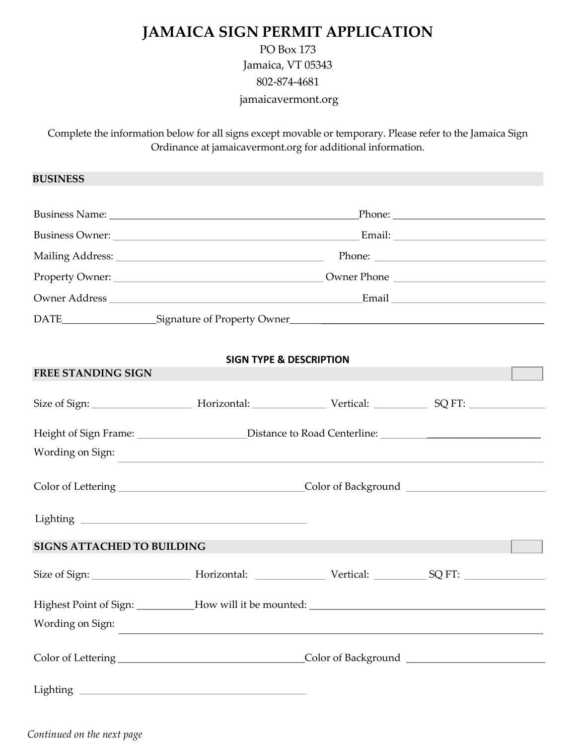## **JAMAICA SIGN PERMIT APPLICATION**

## PO Box 173 Jamaica, VT 05343 802-874-4681 jamaicavermont.org

Complete the information below for all signs except movable or temporary. Please refer to the Jamaica Sign Ordinance at jamaicavermont.org for additional information.

**BUSINESS**

|                             | Phone: $\frac{1}{\sqrt{1-\frac{1}{2}}\sqrt{1-\frac{1}{2}}\sqrt{1-\frac{1}{2}}\sqrt{1-\frac{1}{2}}\sqrt{1-\frac{1}{2}}\sqrt{1-\frac{1}{2}}\sqrt{1-\frac{1}{2}}\sqrt{1-\frac{1}{2}}\sqrt{1-\frac{1}{2}}\sqrt{1-\frac{1}{2}}\sqrt{1-\frac{1}{2}}\sqrt{1-\frac{1}{2}}\sqrt{1-\frac{1}{2}}\sqrt{1-\frac{1}{2}}\sqrt{1-\frac{1}{2}}\sqrt{1-\frac{1}{2}}\sqrt{1-\frac{1}{2}}\sqrt{1-\frac{1}{2}}\sqrt{1-\frac{1}{2$ |
|-----------------------------|--------------------------------------------------------------------------------------------------------------------------------------------------------------------------------------------------------------------------------------------------------------------------------------------------------------------------------------------------------------------------------------------------------------|
|                             | Owner Phone                                                                                                                                                                                                                                                                                                                                                                                                  |
|                             | Email _______________                                                                                                                                                                                                                                                                                                                                                                                        |
| Signature of Property Owner |                                                                                                                                                                                                                                                                                                                                                                                                              |

## **SIGN TYPE & DESCRIPTION**

| <b>FREE STANDING SIGN</b>                                                                                     |  |  |  |  |  |
|---------------------------------------------------------------------------------------------------------------|--|--|--|--|--|
|                                                                                                               |  |  |  |  |  |
| Height of Sign Frame: _______________________Distance to Road Centerline: ___________________________________ |  |  |  |  |  |
| Wording on Sign:                                                                                              |  |  |  |  |  |
|                                                                                                               |  |  |  |  |  |
| <b>SIGNS ATTACHED TO BUILDING</b>                                                                             |  |  |  |  |  |
|                                                                                                               |  |  |  |  |  |
|                                                                                                               |  |  |  |  |  |
| Wording on Sign:                                                                                              |  |  |  |  |  |
|                                                                                                               |  |  |  |  |  |
|                                                                                                               |  |  |  |  |  |